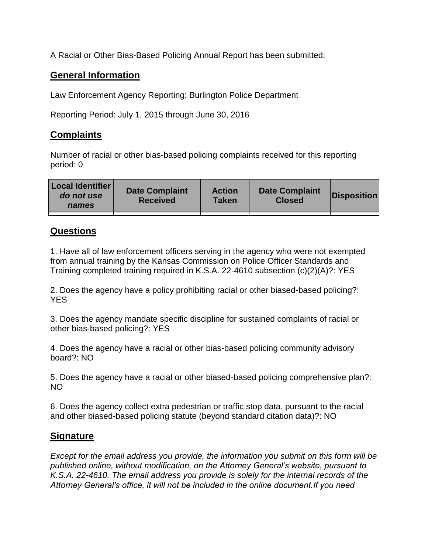A Racial or Other Bias-Based Policing Annual Report has been submitted:

## **General Information**

Law Enforcement Agency Reporting: Burlington Police Department

Reporting Period: July 1, 2015 through June 30, 2016

## **Complaints**

Number of racial or other bias-based policing complaints received for this reporting period: 0

| <b>Local Identifier</b><br>do not use<br>names | <b>Date Complaint</b><br><b>Received</b> | <b>Action</b><br><b>Taken</b> | <b>Date Complaint</b><br><b>Closed</b> | Disposition |
|------------------------------------------------|------------------------------------------|-------------------------------|----------------------------------------|-------------|
|                                                |                                          |                               |                                        |             |

## **Questions**

1. Have all of law enforcement officers serving in the agency who were not exempted from annual training by the Kansas Commission on Police Officer Standards and Training completed training required in K.S.A. 22-4610 subsection (c)(2)(A)?: YES

2. Does the agency have a policy prohibiting racial or other biased-based policing?: YES

3. Does the agency mandate specific discipline for sustained complaints of racial or other bias-based policing?: YES

4. Does the agency have a racial or other bias-based policing community advisory board?: NO

5. Does the agency have a racial or other biased-based policing comprehensive plan?: NO

6. Does the agency collect extra pedestrian or traffic stop data, pursuant to the racial and other biased-based policing statute (beyond standard citation data)?: NO

## **Signature**

*Except for the email address you provide, the information you submit on this form will be published online, without modification, on the Attorney General's website, pursuant to K.S.A. 22-4610. The email address you provide is solely for the internal records of the Attorney General's office, it will not be included in the online document.If you need*